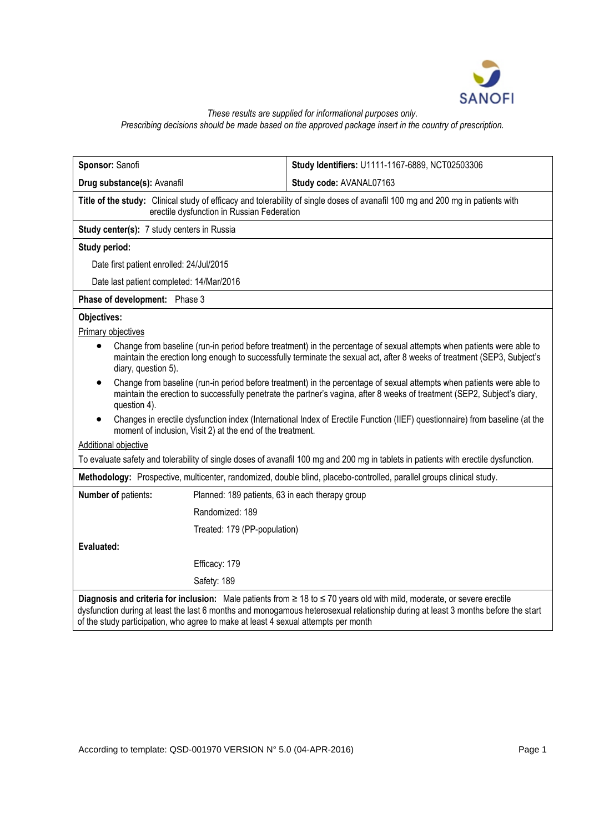

*These results are supplied for informational purposes only.*

*Prescribing decisions should be made based on the approved package insert in the country of prescription.*

| Sponsor: Sanofi                                                                                                                                                                                                                                                                                                                                   | Study Identifiers: U1111-1167-6889, NCT02503306 |
|---------------------------------------------------------------------------------------------------------------------------------------------------------------------------------------------------------------------------------------------------------------------------------------------------------------------------------------------------|-------------------------------------------------|
| Drug substance(s): Avanafil                                                                                                                                                                                                                                                                                                                       | Study code: AVANAL07163                         |
| Title of the study: Clinical study of efficacy and tolerability of single doses of avanafil 100 mg and 200 mg in patients with<br>erectile dysfunction in Russian Federation                                                                                                                                                                      |                                                 |
| Study center(s): 7 study centers in Russia                                                                                                                                                                                                                                                                                                        |                                                 |
| Study period:                                                                                                                                                                                                                                                                                                                                     |                                                 |
| Date first patient enrolled: 24/Jul/2015                                                                                                                                                                                                                                                                                                          |                                                 |
| Date last patient completed: 14/Mar/2016                                                                                                                                                                                                                                                                                                          |                                                 |
| Phase of development: Phase 3                                                                                                                                                                                                                                                                                                                     |                                                 |
| Objectives:                                                                                                                                                                                                                                                                                                                                       |                                                 |
| Primary objectives                                                                                                                                                                                                                                                                                                                                |                                                 |
| Change from baseline (run-in period before treatment) in the percentage of sexual attempts when patients were able to<br>$\bullet$<br>maintain the erection long enough to successfully terminate the sexual act, after 8 weeks of treatment (SEP3, Subject's<br>diary, question 5).                                                              |                                                 |
| Change from baseline (run-in period before treatment) in the percentage of sexual attempts when patients were able to<br>$\bullet$<br>maintain the erection to successfully penetrate the partner's vagina, after 8 weeks of treatment (SEP2, Subject's diary,<br>question 4).                                                                    |                                                 |
| Changes in erectile dysfunction index (International Index of Erectile Function (IIEF) questionnaire) from baseline (at the<br>moment of inclusion, Visit 2) at the end of the treatment.                                                                                                                                                         |                                                 |
| <b>Additional objective</b>                                                                                                                                                                                                                                                                                                                       |                                                 |
| To evaluate safety and tolerability of single doses of avanafil 100 mg and 200 mg in tablets in patients with erectile dysfunction.                                                                                                                                                                                                               |                                                 |
| Methodology: Prospective, multicenter, randomized, double blind, placebo-controlled, parallel groups clinical study.                                                                                                                                                                                                                              |                                                 |
| Number of patients:<br>Planned: 189 patients, 63 in each therapy group                                                                                                                                                                                                                                                                            |                                                 |
| Randomized: 189                                                                                                                                                                                                                                                                                                                                   |                                                 |
| Treated: 179 (PP-population)                                                                                                                                                                                                                                                                                                                      |                                                 |
| Evaluated:                                                                                                                                                                                                                                                                                                                                        |                                                 |
| Efficacy: 179                                                                                                                                                                                                                                                                                                                                     |                                                 |
| Safety: 189                                                                                                                                                                                                                                                                                                                                       |                                                 |
| Diagnosis and criteria for inclusion: Male patients from ≥ 18 to ≤ 70 years old with mild, moderate, or severe erectile<br>dysfunction during at least the last 6 months and monogamous heterosexual relationship during at least 3 months before the start<br>of the study participation, who agree to make at least 4 sexual attempts per month |                                                 |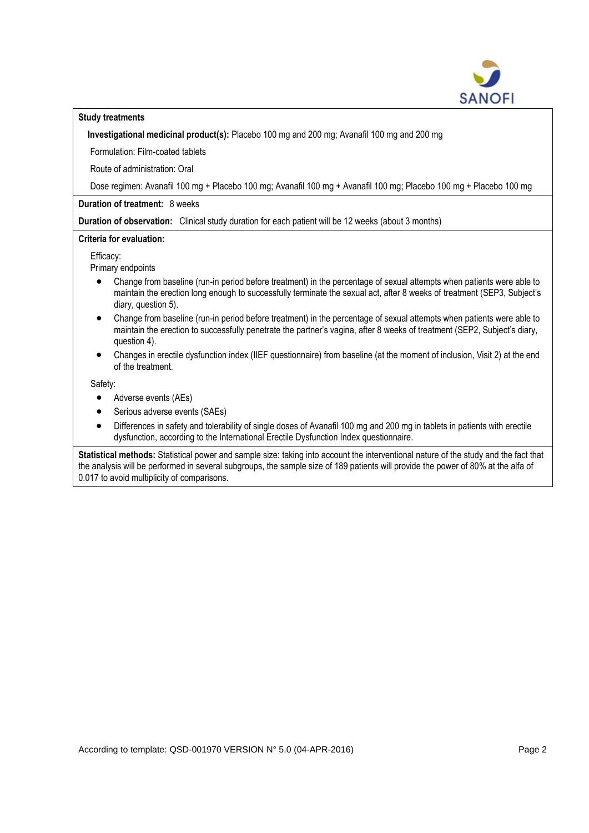

## **Study treatments**

**Investigational medicinal product(s):** Placebo 100 mg and 200 mg; Avanafil 100 mg and 200 mg

Formulation: Film-coated tablets

Route of administration: Oral

Dose regimen: Avanafil 100 mg + Placebo 100 mg; Avanafil 100 mg + Avanafil 100 mg; Placebo 100 mg + Placebo 100 mg

**Duration of treatment:** 8 weeks

**Duration of observation:** Clinical study duration for each patient will be 12 weeks (about 3 months)

## **Criteria for evaluation:**

Efficacy:

Primary endpoints

- Change from baseline (run-in period before treatment) in the percentage of sexual attempts when patients were able to maintain the erection long enough to successfully terminate the sexual act, after 8 weeks of treatment (SEP3, Subject's diary, question 5).
- Change from baseline (run-in period before treatment) in the percentage of sexual attempts when patients were able to maintain the erection to successfully penetrate the partner's vagina, after 8 weeks of treatment (SEP2, Subject's diary, question 4).
- Changes in erectile dysfunction index (IIEF questionnaire) from baseline (at the moment of inclusion, Visit 2) at the end of the treatment.

Safety:

- Adverse events (AEs)
- Serious adverse events (SAEs)
- Differences in safety and tolerability of single doses of Avanafil 100 mg and 200 mg in tablets in patients with erectile dysfunction, according to the International Erectile Dysfunction Index questionnaire.

**Statistical methods:** Statistical power and sample size: taking into account the interventional nature of the study and the fact that the analysis will be performed in several subgroups, the sample size of 189 patients will provide the power of 80% at the alfa of 0.017 to avoid multiplicity of comparisons.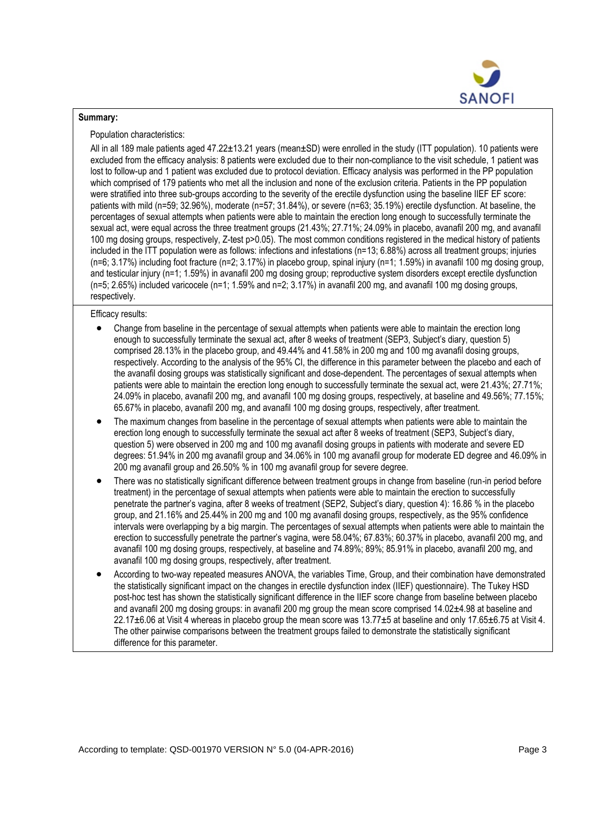

## **Summary:**

Population characteristics:

All in all 189 male patients aged 47.22±13.21 years (mean±SD) were enrolled in the study (ITT population). 10 patients were excluded from the efficacy analysis: 8 patients were excluded due to their non-compliance to the visit schedule, 1 patient was lost to follow-up and 1 patient was excluded due to protocol deviation. Efficacy analysis was performed in the PP population which comprised of 179 patients who met all the inclusion and none of the exclusion criteria. Patients in the PP population were stratified into three sub-groups according to the severity of the erectile dysfunction using the baseline IIEF EF score: patients with mild (n=59; 32.96%), moderate (n=57; 31.84%), or severe (n=63; 35.19%) erectile dysfunction. At baseline, the percentages of sexual attempts when patients were able to maintain the erection long enough to successfully terminate the sexual act, were equal across the three treatment groups (21.43%; 27.71%; 24.09% in placebo, avanafil 200 mg, and avanafil 100 mg dosing groups, respectively, Z-test p>0.05). The most common conditions registered in the medical history of patients included in the ITT population were as follows: infections and infestations (n=13; 6.88%) across all treatment groups; injuries (n=6; 3.17%) including foot fracture (n=2; 3.17%) in placebo group, spinal injury (n=1; 1.59%) in avanafil 100 mg dosing group, and testicular injury (n=1; 1.59%) in avanafil 200 mg dosing group; reproductive system disorders except erectile dysfunction (n=5; 2.65%) included varicocele (n=1; 1.59% and n=2; 3.17%) in avanafil 200 mg, and avanafil 100 mg dosing groups, respectively.

Efficacy results:

- Change from baseline in the percentage of sexual attempts when patients were able to maintain the erection long enough to successfully terminate the sexual act, after 8 weeks of treatment (SEP3, Subject's diary, question 5) comprised 28.13% in the placebo group, and 49.44% and 41.58% in 200 mg and 100 mg avanafil dosing groups, respectively. According to the analysis of the 95% CI, the difference in this parameter between the placebo and each of the avanafil dosing groups was statistically significant and dose-dependent. The percentages of sexual attempts when patients were able to maintain the erection long enough to successfully terminate the sexual act, were 21.43%; 27.71%; 24.09% in placebo, avanafil 200 mg, and avanafil 100 mg dosing groups, respectively, at baseline and 49.56%; 77.15%; 65.67% in placebo, avanafil 200 mg, and avanafil 100 mg dosing groups, respectively, after treatment.
- The maximum changes from baseline in the percentage of sexual attempts when patients were able to maintain the erection long enough to successfully terminate the sexual act after 8 weeks of treatment (SEP3, Subject's diary, question 5) were observed in 200 mg and 100 mg avanafil dosing groups in patients with moderate and severe ED degrees: 51.94% in 200 mg avanafil group and 34.06% in 100 mg avanafil group for moderate ED degree and 46.09% in 200 mg avanafil group and 26.50% % in 100 mg avanafil group for severe degree.
- There was no statistically significant difference between treatment groups in change from baseline (run-in period before treatment) in the percentage of sexual attempts when patients were able to maintain the erection to successfully penetrate the partner's vagina, after 8 weeks of treatment (SEP2, Subject's diary, question 4): 16.86 % in the placebo group, and 21.16% and 25.44% in 200 mg and 100 mg avanafil dosing groups, respectively, as the 95% confidence intervals were overlapping by a big margin. The percentages of sexual attempts when patients were able to maintain the erection to successfully penetrate the partner's vagina, were 58.04%; 67.83%; 60.37% in placebo, avanafil 200 mg, and avanafil 100 mg dosing groups, respectively, at baseline and 74.89%; 89%; 85.91% in placebo, avanafil 200 mg, and avanafil 100 mg dosing groups, respectively, after treatment.
- According to two-way repeated measures ANOVA, the variables Time, Group, and their combination have demonstrated the statistically significant impact on the changes in erectile dysfunction index (IIEF) questionnaire). The Tukey HSD post-hoc test has shown the statistically significant difference in the IIEF score change from baseline between placebo and avanafil 200 mg dosing groups: in avanafil 200 mg group the mean score comprised 14.02 $\pm$ 4.98 at baseline and 22.17±6.06 at Visit 4 whereas in placebo group the mean score was 13.77±5 at baseline and only 17.65±6.75 at Visit 4. The other pairwise comparisons between the treatment groups failed to demonstrate the statistically significant difference for this parameter.